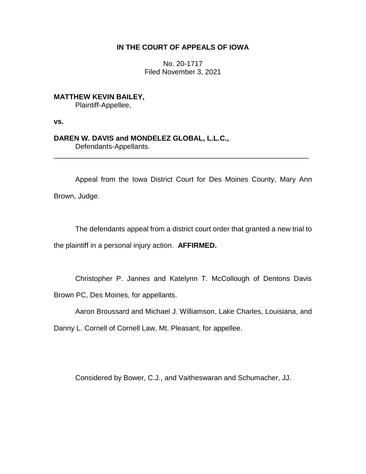## **IN THE COURT OF APPEALS OF IOWA**

No. 20-1717 Filed November 3, 2021

**MATTHEW KEVIN BAILEY,** Plaintiff-Appellee,

**vs.**

## **DAREN W. DAVIS and MONDELEZ GLOBAL, L.L.C.,**

Defendants-Appellants.

Appeal from the Iowa District Court for Des Moines County, Mary Ann Brown, Judge.

\_\_\_\_\_\_\_\_\_\_\_\_\_\_\_\_\_\_\_\_\_\_\_\_\_\_\_\_\_\_\_\_\_\_\_\_\_\_\_\_\_\_\_\_\_\_\_\_\_\_\_\_\_\_\_\_\_\_\_\_\_\_\_\_

The defendants appeal from a district court order that granted a new trial to the plaintiff in a personal injury action. **AFFIRMED.** 

Christopher P. Jannes and Katelynn T. McCollough of Dentons Davis Brown PC, Des Moines, for appellants.

Aaron Broussard and Michael J. Williamson, Lake Charles, Louisiana, and

Danny L. Cornell of Cornell Law, Mt. Pleasant, for appellee.

Considered by Bower, C.J., and Vaitheswaran and Schumacher, JJ.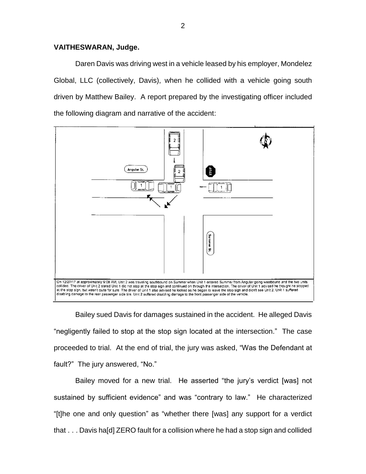## **VAITHESWARAN, Judge.**

Daren Davis was driving west in a vehicle leased by his employer, Mondelez Global, LLC (collectively, Davis), when he collided with a vehicle going south driven by Matthew Bailey. A report prepared by the investigating officer included the following diagram and narrative of the accident:



Bailey sued Davis for damages sustained in the accident. He alleged Davis "negligently failed to stop at the stop sign located at the intersection." The case proceeded to trial. At the end of trial, the jury was asked, "Was the Defendant at fault?" The jury answered, "No."

Bailey moved for a new trial. He asserted "the jury's verdict [was] not sustained by sufficient evidence" and was "contrary to law." He characterized "[t]he one and only question" as "whether there [was] any support for a verdict that . . . Davis ha[d] ZERO fault for a collision where he had a stop sign and collided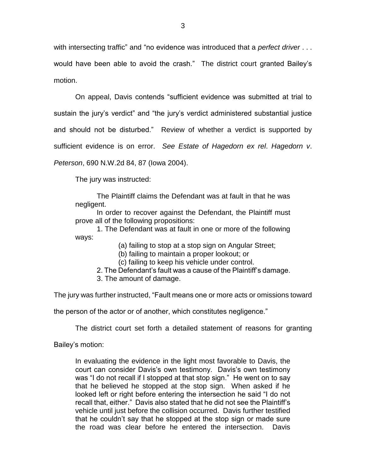with intersecting traffic" and "no evidence was introduced that a *perfect driver* . . . would have been able to avoid the crash." The district court granted Bailey's motion.

On appeal, Davis contends "sufficient evidence was submitted at trial to sustain the jury's verdict" and "the jury's verdict administered substantial justice and should not be disturbed." Review of whether a verdict is supported by sufficient evidence is on error. *See Estate of Hagedorn ex rel*. *Hagedorn v*. *Peterson*, 690 N.W.2d 84, 87 (Iowa 2004).

The jury was instructed:

The Plaintiff claims the Defendant was at fault in that he was negligent.

In order to recover against the Defendant, the Plaintiff must prove all of the following propositions:

1. The Defendant was at fault in one or more of the following ways:

(a) failing to stop at a stop sign on Angular Street;

(b) failing to maintain a proper lookout; or

(c) failing to keep his vehicle under control.

- 2. The Defendant's fault was a cause of the Plaintiff's damage.
- 3. The amount of damage.

The jury was further instructed, "Fault means one or more acts or omissions toward

the person of the actor or of another, which constitutes negligence."

The district court set forth a detailed statement of reasons for granting

Bailey's motion:

In evaluating the evidence in the light most favorable to Davis, the court can consider Davis's own testimony. Davis's own testimony was "I do not recall if I stopped at that stop sign." He went on to say that he believed he stopped at the stop sign. When asked if he looked left or right before entering the intersection he said "I do not recall that, either." Davis also stated that he did not see the Plaintiff's vehicle until just before the collision occurred. Davis further testified that he couldn't say that he stopped at the stop sign or made sure the road was clear before he entered the intersection. Davis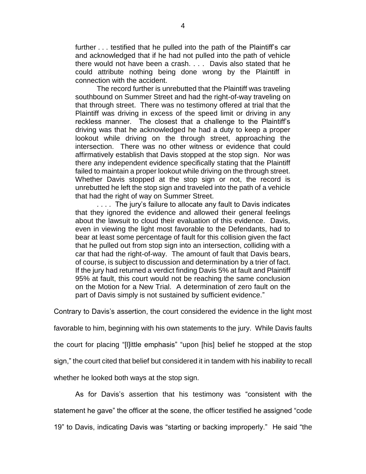further . . . testified that he pulled into the path of the Plaintiff's car and acknowledged that if he had not pulled into the path of vehicle there would not have been a crash. . . . Davis also stated that he could attribute nothing being done wrong by the Plaintiff in connection with the accident.

The record further is unrebutted that the Plaintiff was traveling southbound on Summer Street and had the right-of-way traveling on that through street. There was no testimony offered at trial that the Plaintiff was driving in excess of the speed limit or driving in any reckless manner. The closest that a challenge to the Plaintiff's driving was that he acknowledged he had a duty to keep a proper lookout while driving on the through street, approaching the intersection. There was no other witness or evidence that could affirmatively establish that Davis stopped at the stop sign. Nor was there any independent evidence specifically stating that the Plaintiff failed to maintain a proper lookout while driving on the through street. Whether Davis stopped at the stop sign or not, the record is unrebutted he left the stop sign and traveled into the path of a vehicle that had the right of way on Summer Street.

. . . . The jury's failure to allocate any fault to Davis indicates that they ignored the evidence and allowed their general feelings about the lawsuit to cloud their evaluation of this evidence. Davis, even in viewing the light most favorable to the Defendants, had to bear at least some percentage of fault for this collision given the fact that he pulled out from stop sign into an intersection, colliding with a car that had the right-of-way. The amount of fault that Davis bears, of course, is subject to discussion and determination by a trier of fact. If the jury had returned a verdict finding Davis 5% at fault and Plaintiff 95% at fault, this court would not be reaching the same conclusion on the Motion for a New Trial. A determination of zero fault on the part of Davis simply is not sustained by sufficient evidence."

Contrary to Davis's assertion, the court considered the evidence in the light most

favorable to him, beginning with his own statements to the jury. While Davis faults

the court for placing "[l]ittle emphasis" "upon [his] belief he stopped at the stop

sign," the court cited that belief but considered it in tandem with his inability to recall

whether he looked both ways at the stop sign.

As for Davis's assertion that his testimony was "consistent with the statement he gave" the officer at the scene, the officer testified he assigned "code 19" to Davis, indicating Davis was "starting or backing improperly." He said "the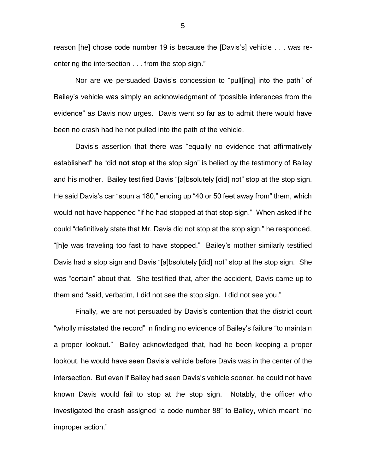reason [he] chose code number 19 is because the [Davis's] vehicle . . . was reentering the intersection . . . from the stop sign."

Nor are we persuaded Davis's concession to "pull[ing] into the path" of Bailey's vehicle was simply an acknowledgment of "possible inferences from the evidence" as Davis now urges. Davis went so far as to admit there would have been no crash had he not pulled into the path of the vehicle.

Davis's assertion that there was "equally no evidence that affirmatively established" he "did **not stop** at the stop sign" is belied by the testimony of Bailey and his mother. Bailey testified Davis "[a]bsolutely [did] not" stop at the stop sign. He said Davis's car "spun a 180," ending up "40 or 50 feet away from" them, which would not have happened "if he had stopped at that stop sign." When asked if he could "definitively state that Mr. Davis did not stop at the stop sign," he responded, "[h]e was traveling too fast to have stopped." Bailey's mother similarly testified Davis had a stop sign and Davis "[a]bsolutely [did] not" stop at the stop sign. She was "certain" about that. She testified that, after the accident, Davis came up to them and "said, verbatim, I did not see the stop sign. I did not see you."

Finally, we are not persuaded by Davis's contention that the district court "wholly misstated the record" in finding no evidence of Bailey's failure "to maintain a proper lookout." Bailey acknowledged that, had he been keeping a proper lookout, he would have seen Davis's vehicle before Davis was in the center of the intersection. But even if Bailey had seen Davis's vehicle sooner, he could not have known Davis would fail to stop at the stop sign. Notably, the officer who investigated the crash assigned "a code number 88" to Bailey, which meant "no improper action."

5